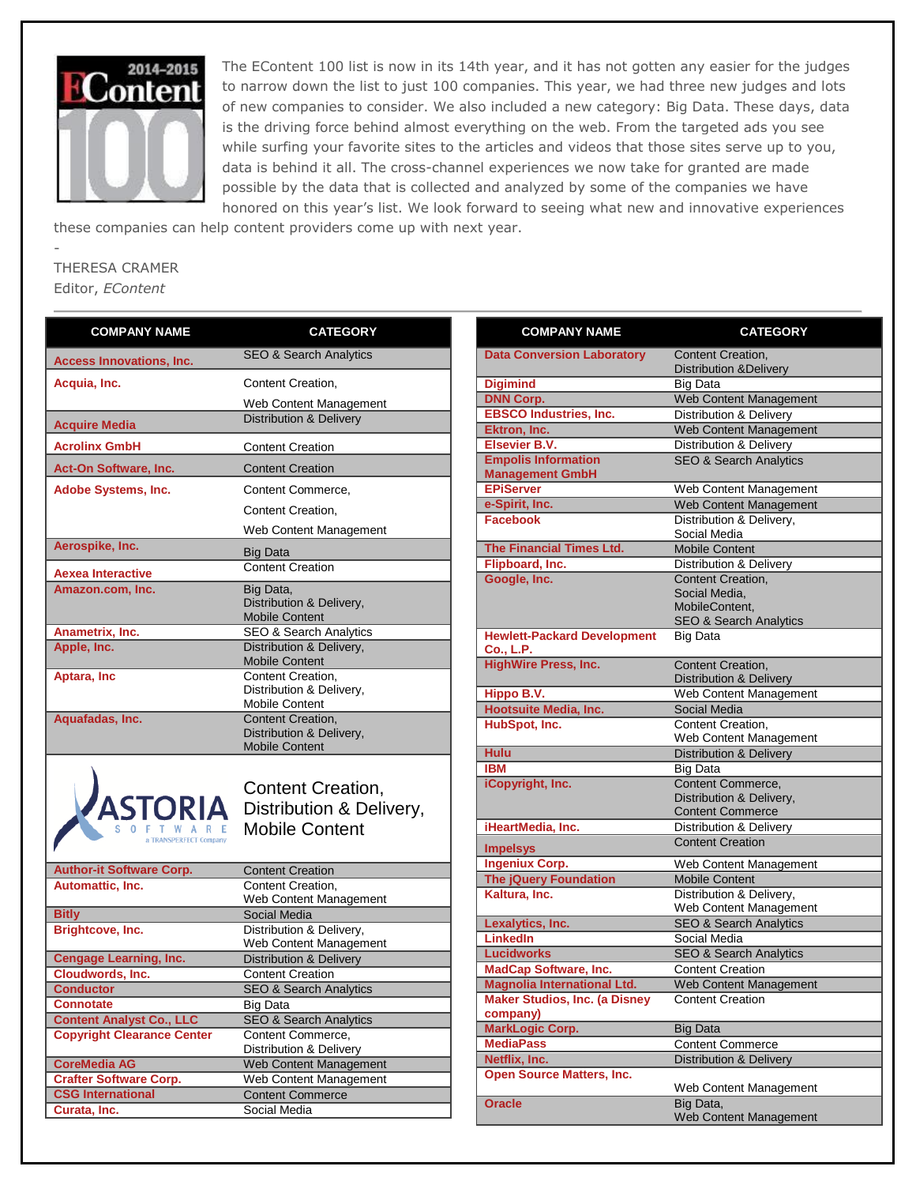

The EContent 100 list is now in its 14th year, and it has not gotten any easier for the judges to narrow down the list to just 100 companies. This year, we had three new judges and lots of new companies to consider. We also included a new category: Big Data. These days, data is the driving force behind almost everything on the web. From the targeted ads you see while surfing your favorite sites to the articles and videos that those sites serve up to you, data is behind it all. The cross-channel experiences we now take for granted are made possible by the data that is collected and analyzed by some of the companies we have honored on this year's list. We look forward to seeing what new and innovative experiences

these companies can help content providers come up with next year.

## THERESA CRAMER Editor, *EContent*

-

| <b>COMPANY NAME</b>                          | <b>CATEGORY</b>                                                               |
|----------------------------------------------|-------------------------------------------------------------------------------|
| <b>Access Innovations, Inc.</b>              | <b>SEO &amp; Search Analytics</b>                                             |
| Acquia, Inc.                                 | Content Creation,                                                             |
|                                              | Web Content Management                                                        |
| <b>Acquire Media</b>                         | <b>Distribution &amp; Delivery</b>                                            |
| <b>Acrolinx GmbH</b>                         | <b>Content Creation</b>                                                       |
| <b>Act-On Software, Inc.</b>                 | <b>Content Creation</b>                                                       |
| Adobe Systems, Inc.                          | Content Commerce,                                                             |
|                                              | Content Creation,                                                             |
|                                              | Web Content Management                                                        |
| Aerospike, Inc.                              |                                                                               |
|                                              | <b>Big Data</b><br><b>Content Creation</b>                                    |
| <b>Aexea Interactive</b><br>Amazon.com, Inc. |                                                                               |
|                                              | Big Data,<br>Distribution & Delivery,                                         |
|                                              | <b>Mobile Content</b>                                                         |
| Anametrix, Inc.                              | <b>SEO &amp; Search Analytics</b>                                             |
| Apple, Inc.                                  | Distribution & Delivery,                                                      |
|                                              | <b>Mobile Content</b>                                                         |
| Aptara, Inc                                  | Content Creation,<br>Distribution & Delivery,                                 |
|                                              | <b>Mobile Content</b>                                                         |
| Aquafadas, Inc.                              | Content Creation,                                                             |
|                                              | Distribution & Delivery,<br><b>Mobile Content</b>                             |
| <b>ASTORIA</b><br><b>ANSPERFECT Company</b>  | <b>Content Creation,</b><br>Distribution & Delivery,<br><b>Mobile Content</b> |
| <b>Author-it Software Corp.</b>              | <b>Content Creation</b>                                                       |
| Automattic, Inc.                             | Content Creation,                                                             |
| <b>Bitly</b>                                 | Web Content Management<br>Social Media                                        |
| Brightcove, Inc.                             | Distribution & Delivery,                                                      |
|                                              | Web Content Management                                                        |
| <b>Cengage Learning, Inc.</b>                | <b>Distribution &amp; Delivery</b>                                            |
| Cloudwords, Inc.                             | <b>Content Creation</b>                                                       |
| <b>Conductor</b>                             | SEO & Search Analytics                                                        |
| <b>Connotate</b>                             | Big Data                                                                      |
| <b>Content Analyst Co., LLC</b>              | <b>SEO &amp; Search Analytics</b>                                             |
| <b>Copyright Clearance Center</b>            | Content Commerce,<br>Distribution & Delivery                                  |
| <b>CoreMedia AG</b>                          | Web Content Management                                                        |
| <b>Crafter Software Corp.</b>                | Web Content Management                                                        |
| <b>CSG International</b>                     | <b>Content Commerce</b>                                                       |
| Curata, Inc.                                 | <b>Social Media</b>                                                           |

| <b>COMPANY NAME</b>                                  | <b>CATEGORY</b>                    |
|------------------------------------------------------|------------------------------------|
| <b>Data Conversion Laboratory</b>                    | <b>Content Creation,</b>           |
|                                                      | <b>Distribution &amp; Delivery</b> |
| <b>Digimind</b>                                      | Big Data                           |
| <b>DNN Corp.</b>                                     | Web Content Management             |
| <b>EBSCO Industries, Inc.</b>                        | Distribution & Delivery            |
| Ektron, Inc.                                         | Web Content Management             |
| <b>Elsevier B.V.</b>                                 | Distribution & Delivery            |
| <b>Empolis Information</b><br><b>Management GmbH</b> | <b>SEO &amp; Search Analytics</b>  |
| <b>EPiServer</b>                                     | Web Content Management             |
| e-Spirit, Inc.                                       | Web Content Management             |
| <b>Facebook</b>                                      | Distribution & Delivery,           |
|                                                      | Social Media                       |
| The Financial Times Ltd.                             | <b>Mobile Content</b>              |
| Flipboard, Inc.                                      | Distribution & Delivery            |
| Google, Inc.                                         | Content Creation,                  |
|                                                      | Social Media.                      |
|                                                      | MobileContent,                     |
|                                                      | <b>SEO &amp; Search Analytics</b>  |
| <b>Hewlett-Packard Development</b><br>Co., L.P.      | <b>Big Data</b>                    |
| <b>HighWire Press, Inc.</b>                          | Content Creation,                  |
|                                                      | <b>Distribution &amp; Delivery</b> |
| Hippo B.V.                                           | Web Content Management             |
| <b>Hootsuite Media, Inc.</b>                         | Social Media                       |
| HubSpot, Inc.                                        | Content Creation,                  |
|                                                      | Web Content Management             |
| <b>Hulu</b>                                          | <b>Distribution &amp; Delivery</b> |
| <b>IBM</b>                                           | <b>Big Data</b>                    |
| iCopyright, Inc.                                     | Content Commerce,                  |
|                                                      | Distribution & Delivery,           |
|                                                      | <b>Content Commerce</b>            |
| iHeartMedia, Inc.                                    | Distribution & Delivery            |
| <b>Impelsys</b>                                      | <b>Content Creation</b>            |
| <b>Ingeniux Corp.</b>                                | Web Content Management             |
| <b>The jQuery Foundation</b>                         | Mobile Content                     |
| Kaltura, Inc.                                        | Distribution & Delivery,           |
|                                                      | Web Content Management             |
| Lexalytics, Inc.                                     | <b>SEO &amp; Search Analytics</b>  |
| <b>LinkedIn</b>                                      | Social Media                       |
| <b>Lucidworks</b>                                    | <b>SEO &amp; Search Analytics</b>  |
| <b>MadCap Software, Inc.</b>                         | <b>Content Creation</b>            |
| <b>Magnolia International Ltd.</b>                   | <b>Web Content Management</b>      |
| <b>Maker Studios, Inc. (a Disney</b><br>company)     | <b>Content Creation</b>            |
| <b>MarkLogic Corp.</b>                               | <b>Big Data</b>                    |
| <b>MediaPass</b>                                     | <b>Content Commerce</b>            |
| Netflix, Inc.                                        | Distribution & Delivery            |
| <b>Open Source Matters, Inc.</b>                     |                                    |
|                                                      | Web Content Management             |
| <b>Oracle</b>                                        | Big Data,                          |
|                                                      | Web Content Management             |